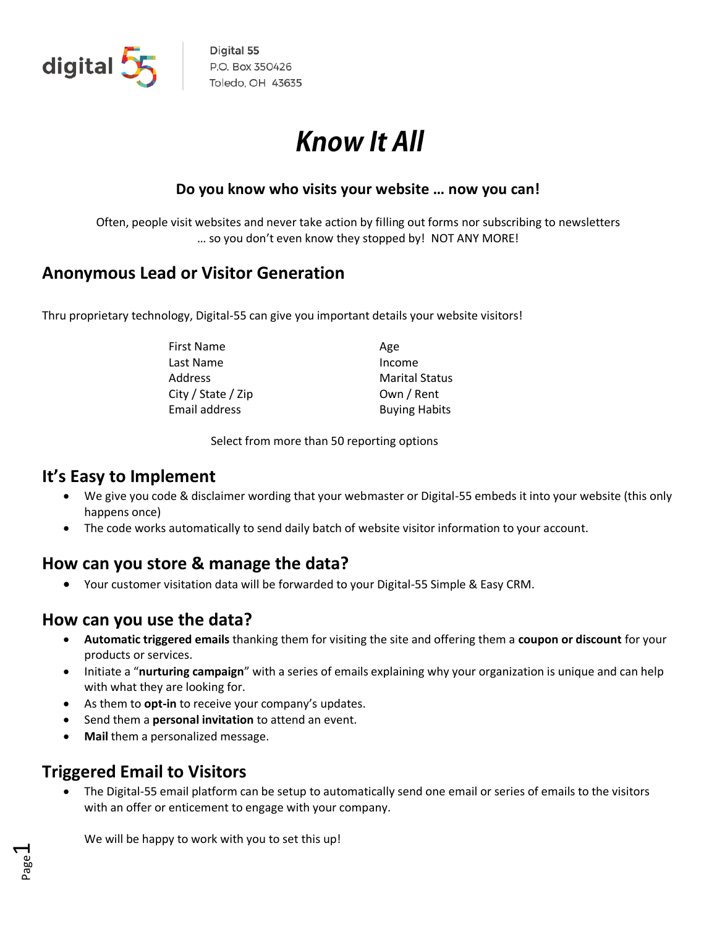

Digital 55 P.O. Box 350426 Toledo, OH 43635

# **Know It All**

#### **Do you know who visits your website … now you can!**

Often, people visit websites and never take action by filling out forms nor subscribing to newsletters … so you don't even know they stopped by! NOT ANY MORE!

#### **Anonymous Lead or Visitor Generation**

Thru proprietary technology, Digital-55 can give you important details your website visitors!

| First Name         | Age                   |
|--------------------|-----------------------|
| Last Name          | Income                |
| Address            | <b>Marital Status</b> |
| City / State / Zip | Own / Rent            |
| Email address      | <b>Buying Habits</b>  |

Select from more than 50 reporting options

#### **It's Easy to Implement**

- We give you code & disclaimer wording that your webmaster or Digital-55 embeds it into your website (this only happens once)
- The code works automatically to send daily batch of website visitor information to your account.

## **How can you store & manage the data?**

• Your customer visitation data will be forwarded to your Digital-55 Simple & Easy CRM.

#### **How can you use the data?**

- **Automatic triggered emails** thanking them for visiting the site and offering them a **coupon or discount** for your products or services.
- Initiate a "**nurturing campaign**" with a series of emails explaining why your organization is unique and can help with what they are looking for.
- As them to **opt-in** to receive your company's updates.
- Send them a **personal invitation** to attend an event.
- **Mail** them a personalized message.

## **Triggered Email to Visitors**

• The Digital-55 email platform can be setup to automatically send one email or series of emails to the visitors with an offer or enticement to engage with your company.

We will be happy to work with you to set this up!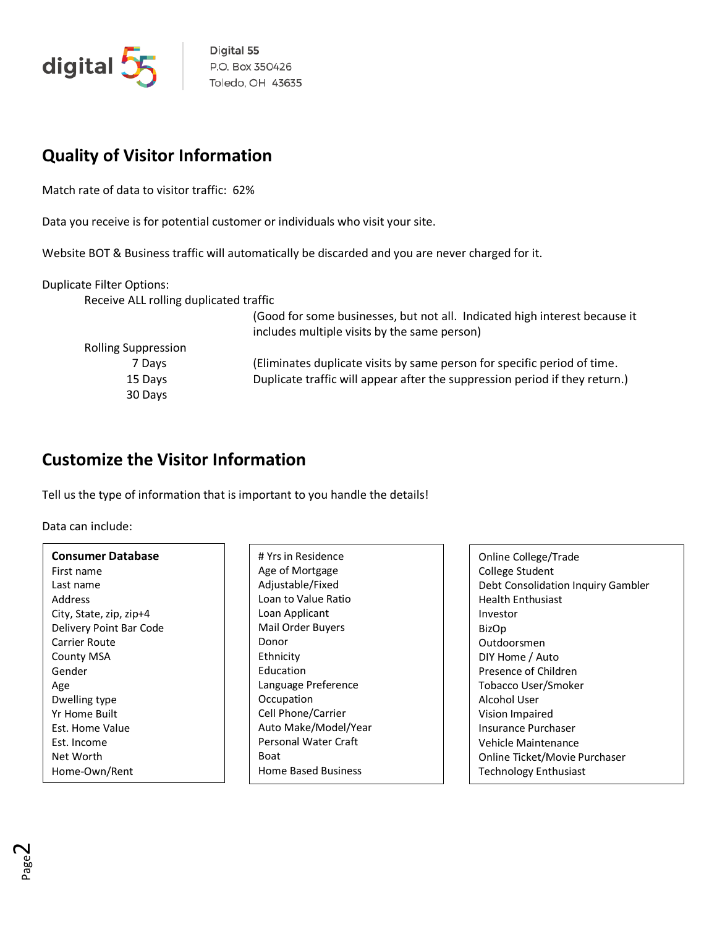

Digital 55 P.O. Box 350426 Toledo, OH 43635

# **Quality of Visitor Information**

Match rate of data to visitor traffic: 62%

Data you receive is for potential customer or individuals who visit your site.

Website BOT & Business traffic will automatically be discarded and you are never charged for it.

Duplicate Filter Options:

Receive ALL rolling duplicated traffic

|                            | (Good for some businesses, but not all. Indicated high interest because it<br>includes multiple visits by the same person) |
|----------------------------|----------------------------------------------------------------------------------------------------------------------------|
| <b>Rolling Suppression</b> |                                                                                                                            |
| 7 Days                     | (Eliminates duplicate visits by same person for specific period of time.                                                   |
| 15 Days                    | Duplicate traffic will appear after the suppression period if they return.)                                                |
| 30 Days                    |                                                                                                                            |
|                            |                                                                                                                            |

#### **Customize the Visitor Information**

Tell us the type of information that is important to you handle the details!

Data can include:

| <b>Consumer Database</b> |  |
|--------------------------|--|
| First name               |  |
| Last name                |  |
| Address                  |  |
| City, State, zip, zip+4  |  |
| Delivery Point Bar Code  |  |
| Carrier Route            |  |
| County MSA               |  |
| Gender                   |  |
| Age                      |  |
| Dwelling type            |  |
| Yr Home Built            |  |
| Est. Home Value          |  |
| Est. Income              |  |
| Net Worth                |  |
| Home-Own/Rent            |  |

# Yrs in Residence Age of Mortgage Adjustable/Fixed Loan to Value Ratio Loan Applicant Mail Order Buyers Donor Ethnicity Education Language Preference **Occupation** Cell Phone/Carrier Auto Make/Model/Year Personal Water Craft Boat Home Based Business

Online College/Trade College Student Debt Consolidation Inquiry Gambler Health Enthusiast Investor BizOp Outdoorsmen DIY Home / Auto Presence of Children Tobacco User/Smoker Alcohol User Vision Impaired Insurance Purchaser Vehicle Maintenance Online Ticket/Movie Purchaser Technology Enthusiast